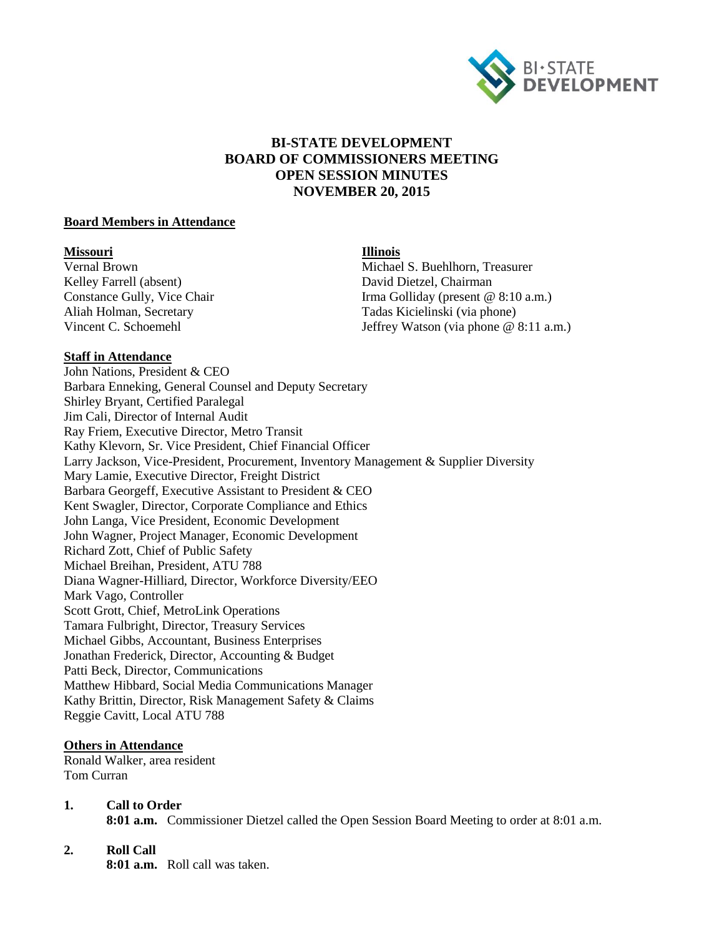

# **BI-STATE DEVELOPMENT BOARD OF COMMISSIONERS MEETING OPEN SESSION MINUTES NOVEMBER 20, 2015**

#### **Board Members in Attendance**

**Missouri Illinois** Kelley Farrell (absent) David Dietzel, Chairman

Michael S. Buehlhorn, Treasurer Constance Gully, Vice Chair **Irma Golliday** (present @ 8:10 a.m.) Aliah Holman, Secretary Tadas Kicielinski (via phone)<br>
Vincent C. Schoemehl<br>
Tadas Kicielinski (via phone @ Jeffrey Watson (via phone  $@ 8:11 a.m.$ )

#### **Staff in Attendance**

John Nations, President & CEO Barbara Enneking, General Counsel and Deputy Secretary Shirley Bryant, Certified Paralegal Jim Cali, Director of Internal Audit Ray Friem, Executive Director, Metro Transit Kathy Klevorn, Sr. Vice President, Chief Financial Officer Larry Jackson, Vice-President, Procurement, Inventory Management & Supplier Diversity Mary Lamie, Executive Director, Freight District Barbara Georgeff, Executive Assistant to President & CEO Kent Swagler, Director, Corporate Compliance and Ethics John Langa, Vice President, Economic Development John Wagner, Project Manager, Economic Development Richard Zott, Chief of Public Safety Michael Breihan, President, ATU 788 Diana Wagner-Hilliard, Director, Workforce Diversity/EEO Mark Vago, Controller Scott Grott, Chief, MetroLink Operations Tamara Fulbright, Director, Treasury Services Michael Gibbs, Accountant, Business Enterprises Jonathan Frederick, Director, Accounting & Budget Patti Beck, Director, Communications Matthew Hibbard, Social Media Communications Manager Kathy Brittin, Director, Risk Management Safety & Claims Reggie Cavitt, Local ATU 788

## **Others in Attendance**

Ronald Walker, area resident Tom Curran

## **1. Call to Order**

**8:01 a.m.** Commissioner Dietzel called the Open Session Board Meeting to order at 8:01 a.m.

## **2. Roll Call**

**8:01 a.m.** Roll call was taken.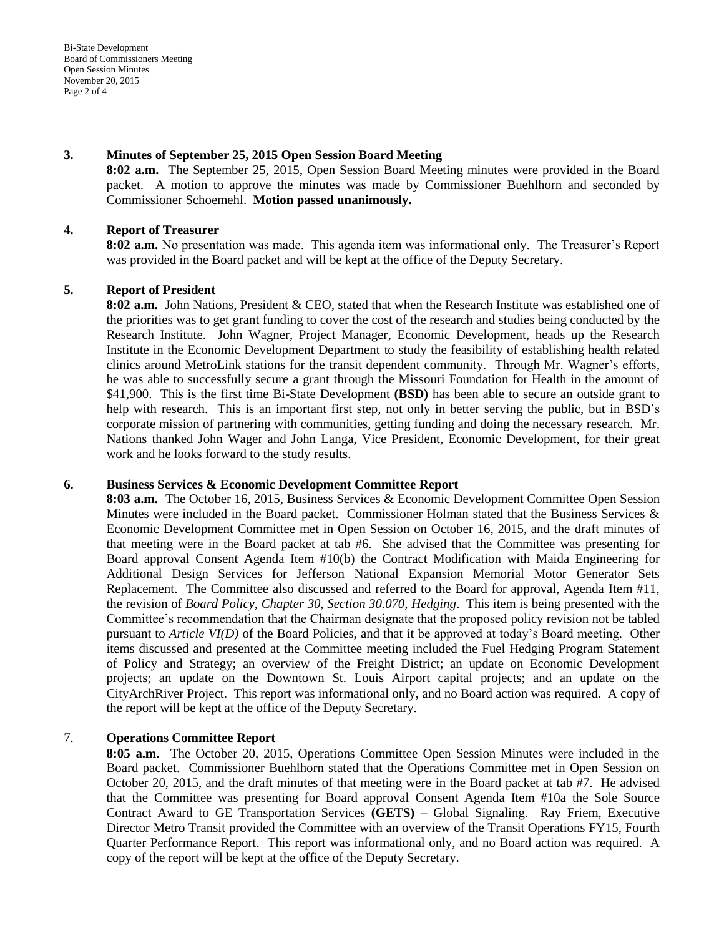Bi-State Development Board of Commissioners Meeting Open Session Minutes November 20, 2015 Page 2 of 4

#### **3. Minutes of September 25, 2015 Open Session Board Meeting**

**8:02 a.m.** The September 25, 2015, Open Session Board Meeting minutes were provided in the Board packet. A motion to approve the minutes was made by Commissioner Buehlhorn and seconded by Commissioner Schoemehl. **Motion passed unanimously.** 

## **4. Report of Treasurer**

**8:02 a.m.** No presentation was made. This agenda item was informational only. The Treasurer's Report was provided in the Board packet and will be kept at the office of the Deputy Secretary.

## **5. Report of President**

**8:02 a.m.** John Nations, President & CEO, stated that when the Research Institute was established one of the priorities was to get grant funding to cover the cost of the research and studies being conducted by the Research Institute. John Wagner, Project Manager, Economic Development, heads up the Research Institute in the Economic Development Department to study the feasibility of establishing health related clinics around MetroLink stations for the transit dependent community. Through Mr. Wagner's efforts, he was able to successfully secure a grant through the Missouri Foundation for Health in the amount of \$41,900. This is the first time Bi-State Development **(BSD)** has been able to secure an outside grant to help with research. This is an important first step, not only in better serving the public, but in BSD's corporate mission of partnering with communities, getting funding and doing the necessary research. Mr. Nations thanked John Wager and John Langa, Vice President, Economic Development, for their great work and he looks forward to the study results.

## **6. Business Services & Economic Development Committee Report**

**8:03 a.m.** The October 16, 2015, Business Services & Economic Development Committee Open Session Minutes were included in the Board packet. Commissioner Holman stated that the Business Services  $\&$ Economic Development Committee met in Open Session on October 16, 2015, and the draft minutes of that meeting were in the Board packet at tab #6. She advised that the Committee was presenting for Board approval Consent Agenda Item #10(b) the Contract Modification with Maida Engineering for Additional Design Services for Jefferson National Expansion Memorial Motor Generator Sets Replacement. The Committee also discussed and referred to the Board for approval, Agenda Item #11, the revision of *Board Policy, Chapter 30, Section 30.070, Hedging*. This item is being presented with the Committee's recommendation that the Chairman designate that the proposed policy revision not be tabled pursuant to *Article VI(D)* of the Board Policies, and that it be approved at today's Board meeting. Other items discussed and presented at the Committee meeting included the Fuel Hedging Program Statement of Policy and Strategy; an overview of the Freight District; an update on Economic Development projects; an update on the Downtown St. Louis Airport capital projects; and an update on the CityArchRiver Project. This report was informational only, and no Board action was required. A copy of the report will be kept at the office of the Deputy Secretary.

## 7. **Operations Committee Report**

**8:05 a.m.** The October 20, 2015, Operations Committee Open Session Minutes were included in the Board packet. Commissioner Buehlhorn stated that the Operations Committee met in Open Session on October 20, 2015, and the draft minutes of that meeting were in the Board packet at tab #7. He advised that the Committee was presenting for Board approval Consent Agenda Item #10a the Sole Source Contract Award to GE Transportation Services **(GETS)** – Global Signaling. Ray Friem, Executive Director Metro Transit provided the Committee with an overview of the Transit Operations FY15, Fourth Quarter Performance Report. This report was informational only, and no Board action was required. A copy of the report will be kept at the office of the Deputy Secretary.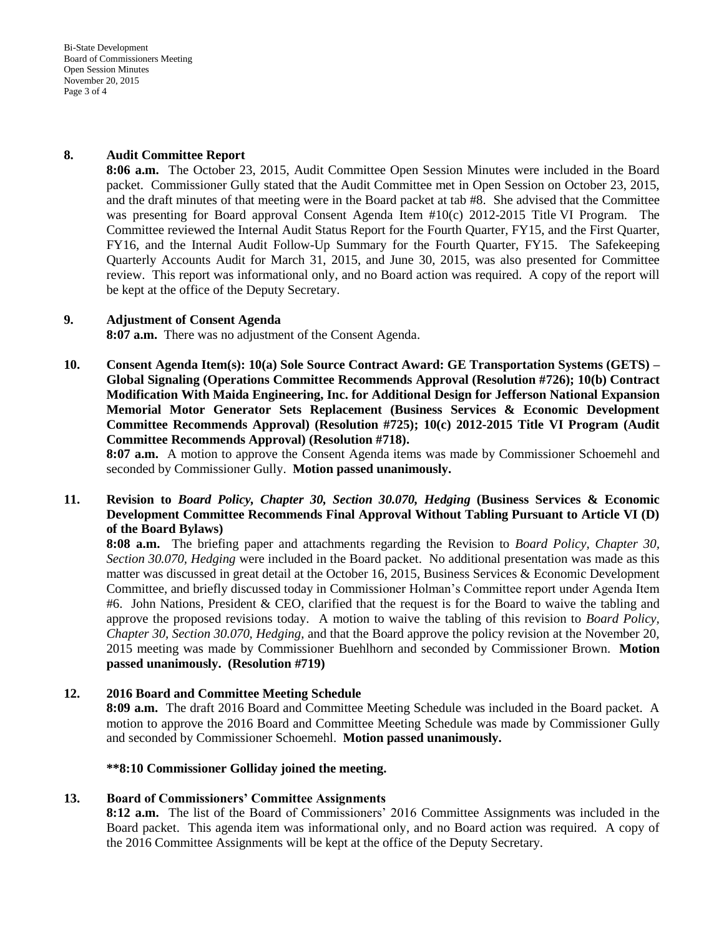Bi-State Development Board of Commissioners Meeting Open Session Minutes November 20, 2015 Page 3 of 4

#### **8. Audit Committee Report**

**8:06 a.m.** The October 23, 2015, Audit Committee Open Session Minutes were included in the Board packet. Commissioner Gully stated that the Audit Committee met in Open Session on October 23, 2015, and the draft minutes of that meeting were in the Board packet at tab #8. She advised that the Committee was presenting for Board approval Consent Agenda Item #10(c) 2012-2015 Title VI Program. The Committee reviewed the Internal Audit Status Report for the Fourth Quarter, FY15, and the First Quarter, FY16, and the Internal Audit Follow-Up Summary for the Fourth Quarter, FY15. The Safekeeping Quarterly Accounts Audit for March 31, 2015, and June 30, 2015, was also presented for Committee review. This report was informational only, and no Board action was required. A copy of the report will be kept at the office of the Deputy Secretary.

#### **9. Adjustment of Consent Agenda**

**8:07 a.m.** There was no adjustment of the Consent Agenda.

**10. Consent Agenda Item(s): 10(a) Sole Source Contract Award: GE Transportation Systems (GETS) – Global Signaling (Operations Committee Recommends Approval (Resolution #726); 10(b) Contract Modification With Maida Engineering, Inc. for Additional Design for Jefferson National Expansion Memorial Motor Generator Sets Replacement (Business Services & Economic Development Committee Recommends Approval) (Resolution #725); 10(c) 2012-2015 Title VI Program (Audit Committee Recommends Approval) (Resolution #718).** 

**8:07 a.m.** A motion to approve the Consent Agenda items was made by Commissioner Schoemehl and seconded by Commissioner Gully. **Motion passed unanimously.** 

**11. Revision to** *Board Policy, Chapter 30, Section 30.070, Hedging* **(Business Services & Economic Development Committee Recommends Final Approval Without Tabling Pursuant to Article VI (D) of the Board Bylaws)**

**8:08 a.m.** The briefing paper and attachments regarding the Revision to *Board Policy, Chapter 30, Section 30.070, Hedging* were included in the Board packet. No additional presentation was made as this matter was discussed in great detail at the October 16, 2015, Business Services & Economic Development Committee, and briefly discussed today in Commissioner Holman's Committee report under Agenda Item #6. John Nations, President & CEO, clarified that the request is for the Board to waive the tabling and approve the proposed revisions today. A motion to waive the tabling of this revision to *Board Policy, Chapter 30, Section 30.070, Hedging,* and that the Board approve the policy revision at the November 20, 2015 meeting was made by Commissioner Buehlhorn and seconded by Commissioner Brown. **Motion passed unanimously. (Resolution #719)**

## **12. 2016 Board and Committee Meeting Schedule**

**8:09 a.m.** The draft 2016 Board and Committee Meeting Schedule was included in the Board packet. A motion to approve the 2016 Board and Committee Meeting Schedule was made by Commissioner Gully and seconded by Commissioner Schoemehl. **Motion passed unanimously.**

#### **\*\*8:10 Commissioner Golliday joined the meeting.**

## **13. Board of Commissioners' Committee Assignments**

**8:12 a.m.** The list of the Board of Commissioners' 2016 Committee Assignments was included in the Board packet. This agenda item was informational only, and no Board action was required. A copy of the 2016 Committee Assignments will be kept at the office of the Deputy Secretary.